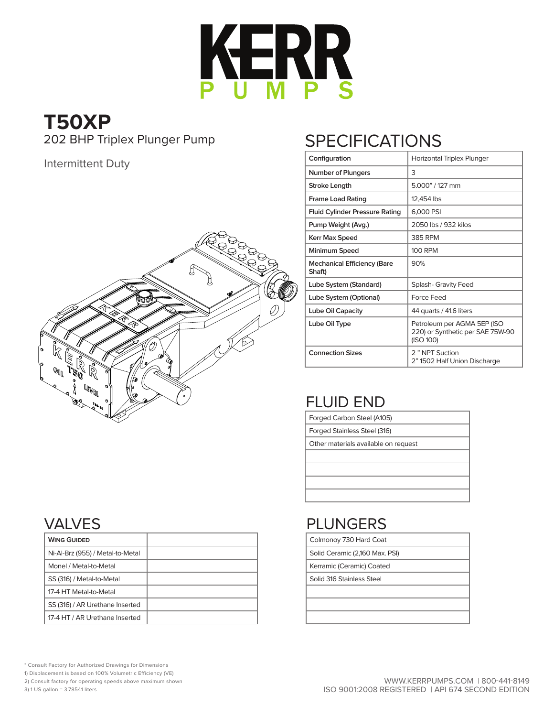

# **T50XP**<br>202 BHP Triplex Plunger Pump

#### Intermittent Duty



## **SPECIFICATIONS**

| Configuration                                | Horizontal Triplex Plunger                                                   |
|----------------------------------------------|------------------------------------------------------------------------------|
| Number of Plungers                           | 3                                                                            |
| Stroke Length                                | 5.000" / 127 mm                                                              |
| <b>Frame Load Rating</b>                     | 12,454 lbs                                                                   |
| Fluid Cylinder Pressure Rating               | 6,000 PSI                                                                    |
| Pump Weight (Avg.)                           | 2050 lbs / 932 kilos                                                         |
| Kerr Max Speed                               | <b>385 RPM</b>                                                               |
| Minimum Speed                                | <b>100 RPM</b>                                                               |
| <b>Mechanical Efficiency (Bare</b><br>Shaft) | 90%                                                                          |
| Lube System (Standard)                       | <b>Splash- Gravity Feed</b>                                                  |
| Lube System (Optional)                       | Force Feed                                                                   |
| Lube Oil Capacity                            | 44 quarts / 41.6 liters                                                      |
| Lube Oil Type                                | Petroleum per AGMA 5EP (ISO<br>220) or Synthetic per SAE 75W-90<br>(ISO 100) |
| <b>Connection Sizes</b>                      | 2" NPT Suction<br>2" 1502 Half Union Discharge                               |

#### FLUID END

Forged Carbon Steel (A105)

Forged Stainless Steel (316)

Other materials available on request

#### VALVES

| <b>WING GUIDED</b>               |  |
|----------------------------------|--|
| Ni-Al-Brz (955) / Metal-to-Metal |  |
| Monel / Metal-to-Metal           |  |
| SS (316) / Metal-to-Metal        |  |
| 17-4 HT Metal-to-Metal           |  |
| SS (316) / AR Urethane Inserted  |  |
| 17-4 HT / AR Urethane Inserted   |  |

#### PLUNGERS

Colmonoy 730 Hard Coat

Solid Ceramic (2,160 Max. PSI)

Kerramic (Ceramic) Coated

Solid 316 Stainless Steel

\* Consult Factory for Authorized Drawings for Dimensions 1) Displacement is based on 100% Volumetric Efficiency (VE)

2) Consult factory for operating speeds above maximum shown

3) 1 US gallon = 3.78541 liters